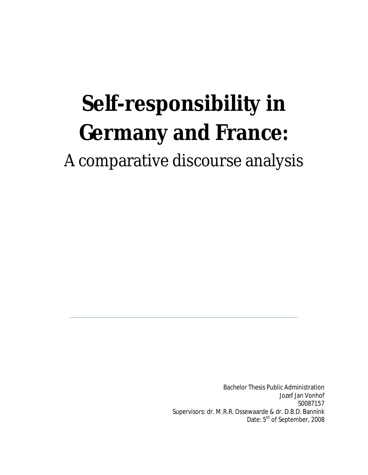# **Self-responsibility in Germany and France:**  A comparative discourse analysis

Bachelor Thesis Public Administration Jozef Jan Vonhof S0087157 Supervisors: dr. M.R.R. Ossewaarde & dr. D.B.D. Bannink Date: 5<sup>th</sup> of September, 2008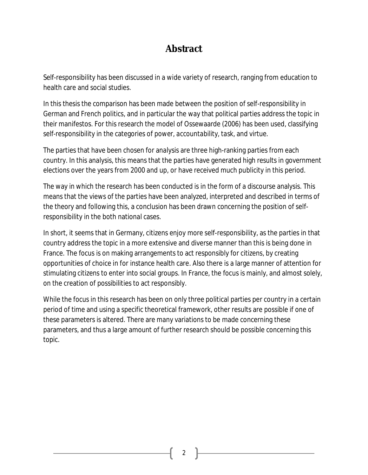## **Abstract**

Self-responsibility has been discussed in a wide variety of research, ranging from education to health care and social studies.

In this thesis the comparison has been made between the position of self-responsibility in German and French politics, and in particular the way that political parties address the topic in their manifestos. For this research the model of Ossewaarde (2006) has been used, classifying self-responsibility in the categories of *power*, *accountability*, *task*, and *virtue*.

The parties that have been chosen for analysis are three high-ranking parties from each country. In this analysis, this means that the parties have generated high results in government elections over the years from 2000 and up, or have received much publicity in this period.

The way in which the research has been conducted is in the form of a discourse analysis. This means that the views of the parties have been analyzed, interpreted and described in terms of the theory and following this, a conclusion has been drawn concerning the position of selfresponsibility in the both national cases.

In short, it seems that in Germany, citizens enjoy more self-responsibility, as the parties in that country address the topic in a more extensive and diverse manner than this is being done in France. The focus is on making arrangements to act responsibly for citizens, by creating opportunities of choice in for instance health care. Also there is a large manner of attention for stimulating citizens to enter into social groups. In France, the focus is mainly, and almost solely, on the creation of possibilities to act responsibly.

While the focus in this research has been on only three political parties per country in a certain period of time and using a specific theoretical framework, other results are possible if one of these parameters is altered. There are many variations to be made concerning these parameters, and thus a large amount of further research should be possible concerning this topic.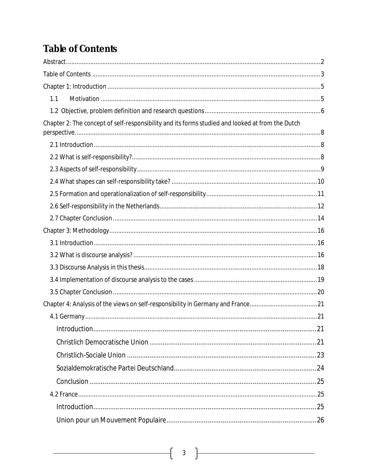# **Table of Contents**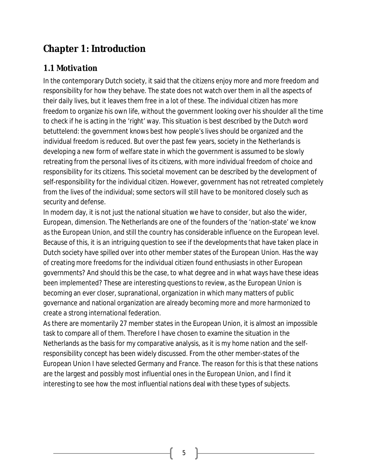# **Chapter 1: Introduction**

## *1.1 Motivation*

In the contemporary Dutch society, it said that the citizens enjoy more and more freedom and responsibility for how they behave. The state does not watch over them in all the aspects of their daily lives, but it leaves them free in a lot of these. The individual citizen has more freedom to organize his own life, without the government looking over his shoulder all the time to check if he is acting in the 'right' way. This situation is best described by the Dutch word *betuttelend*: the government knows best how people's lives should be organized and the individual freedom is reduced. But over the past few years, society in the Netherlands is developing a new form of welfare state in which the government is assumed to be slowly retreating from the personal lives of its citizens, with more individual freedom of choice and responsibility for its citizens. This societal movement can be described by the development of self-responsibility for the individual citizen. However, government has not retreated completely from the lives of the individual; some sectors will still have to be monitored closely such as security and defense.

In modern day, it is not just the national situation we have to consider, but also the wider, European, dimension. The Netherlands are one of the founders of the 'nation-state' we know as the European Union, and still the country has considerable influence on the European level. Because of this, it is an intriguing question to see if the developments that have taken place in Dutch society have spilled over into other member states of the European Union. Has the way of creating more freedoms for the individual citizen found enthusiasts in other European governments? And should this be the case, to what degree and in what ways have these ideas been implemented? These are interesting questions to review, as the European Union is becoming an ever closer, supranational, organization in which many matters of public governance and national organization are already becoming more and more harmonized to create a strong international federation.

As there are momentarily 27 member states in the European Union, it is almost an impossible task to compare all of them. Therefore I have chosen to examine the situation in the Netherlands as the basis for my comparative analysis, as it is my home nation and the selfresponsibility concept has been widely discussed. From the other member-states of the European Union I have selected Germany and France. The reason for this is that these nations are the largest and possibly most influential ones in the European Union, and I find it interesting to see how the most influential nations deal with these types of subjects.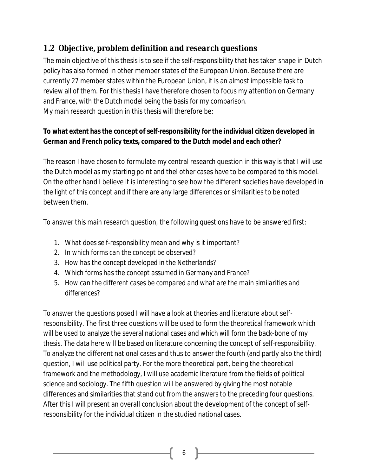## *1.2 Objective, problem definition and research questions*

The main objective of this thesis is to see if the self-responsibility that has taken shape in Dutch policy has also formed in other member states of the European Union. Because there are currently 27 member states within the European Union, it is an almost impossible task to review all of them. For this thesis I have therefore chosen to focus my attention on Germany and France, with the Dutch model being the basis for my comparison. My main research question in this thesis will therefore be:

**To what extent has the concept of self-responsibility for the individual citizen developed in German and French policy texts, compared to the Dutch model and each other?** 

The reason I have chosen to formulate my central research question in this way is that I will use the Dutch model as my starting point and thel other cases have to be compared to this model. On the other hand I believe it is interesting to see how the different societies have developed in the light of this concept and if there are any large differences or similarities to be noted between them.

To answer this main research question, the following questions have to be answered first:

- *1. What does self-responsibility mean and why is it important?*
- *2. In which forms can the concept be observed?*
- *3. How has the concept developed in the Netherlands?*
- *4. Which forms has the concept assumed in Germany and France?*
- *5. How can the different cases be compared and what are the main similarities and differences?*

To answer the questions posed I will have a look at theories and literature about selfresponsibility. The first three questions will be used to form the theoretical framework which will be used to analyze the several national cases and which will form the back-bone of my thesis. The data here will be based on literature concerning the concept of self-responsibility. To analyze the different national cases and thus to answer the fourth (and partly also the third) question, I will use political party. For the more theoretical part, being the theoretical framework and the methodology, I will use academic literature from the fields of political science and sociology. The fifth question will be answered by giving the most notable differences and similarities that stand out from the answers to the preceding four questions. After this I will present an overall conclusion about the development of the concept of selfresponsibility for the individual citizen in the studied national cases.

6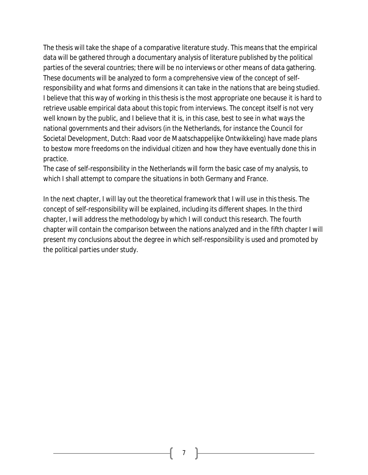The thesis will take the shape of a comparative literature study. This means that the empirical data will be gathered through a documentary analysis of literature published by the political parties of the several countries; there will be no interviews or other means of data gathering. These documents will be analyzed to form a comprehensive view of the concept of selfresponsibility and what forms and dimensions it can take in the nations that are being studied. I believe that this way of working in this thesis is the most appropriate one because it is hard to retrieve usable empirical data about this topic from interviews. The concept itself is not very well known by the public, and I believe that it is, in this case, best to see in what ways the national governments and their advisors (in the Netherlands, for instance the Council for Societal Development, Dutch: Raad voor de Maatschappelijke Ontwikkeling) have made plans to bestow more freedoms on the individual citizen and how they have eventually done this in practice.

The case of self-responsibility in the Netherlands will form the basic case of my analysis, to which I shall attempt to compare the situations in both Germany and France.

In the next chapter, I will lay out the theoretical framework that I will use in this thesis. The concept of self-responsibility will be explained, including its different shapes. In the third chapter, I will address the methodology by which I will conduct this research. The fourth chapter will contain the comparison between the nations analyzed and in the fifth chapter I will present my conclusions about the degree in which self-responsibility is used and promoted by the political parties under study.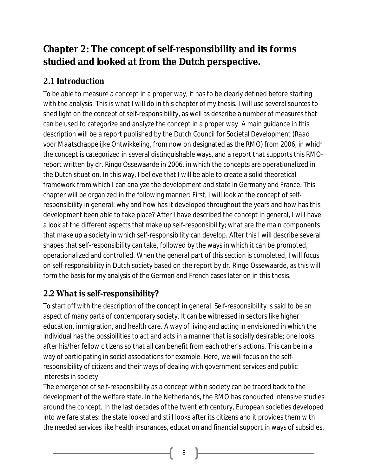# **Chapter 2: The concept of self-responsibility and its forms studied and looked at from the Dutch perspective.**

## *2.1 Introduction*

To be able to measure a concept in a proper way, it has to be clearly defined before starting with the analysis. This is what I will do in this chapter of my thesis. I will use several sources to shed light on the concept of self-responsibility, as well as describe a number of measures that can be used to categorize and analyze the concept in a proper way. A main guidance in this description will be a report published by the Dutch Council for Societal Development (*Raad voor Maatschappelijke Ontwikkeling*, from now on designated as the RMO) from 2006, in which the concept is categorized in several distinguishable ways, and a report that supports this RMOreport written by dr. Ringo Ossewaarde in 2006, in which the concepts are operationalized in the Dutch situation. In this way, I believe that I will be able to create a solid theoretical framework from which I can analyze the development and state in Germany and France. This chapter will be organized in the following manner: First, I will look at the concept of selfresponsibility in general: why and how has it developed throughout the years and how has this development been able to take place? After I have described the concept in general, I will have a look at the different aspects that make up self-responsibility; what are the main components that make up a society in which self-responsibility can develop. After this I will describe several shapes that self-responsibility can take, followed by the ways in which it can be promoted, operationalized and controlled. When the general part of this section is completed, I will focus on self-responsibility in Dutch society based on the report by dr. Ringo Ossewaarde, as this will form the basis for my analysis of the German and French cases later on in this thesis.

## *2.2 What is self-responsibility?*

To start off with the description of the concept in general. Self-responsibility is said to be an aspect of many parts of contemporary society. It can be witnessed in sectors like higher education, immigration, and health care. A way of living and acting in envisioned in which the individual has the possibilities to act and acts in a manner that is socially desirable; one looks after his/her fellow citizens so that all can benefit from each other's actions. This can be in a way of participating in social associations for example. Here, we will focus on the selfresponsibility of citizens and their ways of dealing with government services and public interests in society.

The emergence of self-responsibility as a concept within society can be traced back to the development of the welfare state. In the Netherlands, the RMO has conducted intensive studies around the concept. In the last decades of the twentieth century, European societies developed into welfare states: the state looked and still looks after its citizens and it provides them with the needed services like health insurances, education and financial support in ways of subsidies.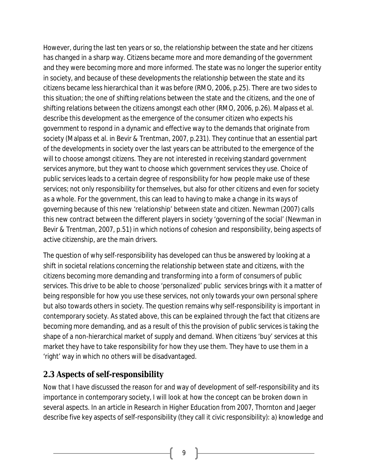However, during the last ten years or so, the relationship between the state and her citizens has changed in a sharp way. Citizens became more and more demanding of the government and they were becoming more and more informed. The state was no longer the superior entity in society, and because of these developments the relationship between the state and its citizens became less hierarchical than it was before (*RMO*, 2006, p.25). There are two sides to this situation; the one of shifting relations between the state and the citizens, and the one of shifting relations between the citizens amongst each other (*RMO*, 2006, p.26). Malpass et al. describe this development as the emergence of the *consumer citizen* who expects his government to respond in a dynamic and effective way to the demands that originate from society (Malpass et al. in Bevir & Trentman, 2007, p.231). They continue that an essential part of the developments in society over the last years can be attributed to the emergence of the will to choose amongst citizens. They are not interested in receiving standard government services anymore, but they want to choose which government services they use. Choice of public services leads to a certain degree of responsibility for how people make use of these services; not only responsibility for themselves, but also for other citizens and even for society as a whole. For the government, this can lead to having to make a change in its ways of governing because of this new 'relationship' between state and citizen. Newman (2007) calls this new contract between the different players in society 'governing of the social' (Newman in Bevir & Trentman, 2007, p.51) in which notions of cohesion and responsibility, being aspects of active citizenship, are the main drivers.

The question of why self-responsibility has developed can thus be answered by looking at a shift in societal relations concerning the relationship between state and citizens, with the citizens becoming more demanding and transforming into a form of *consumers* of public services. This drive to be able to choose 'personalized' public services brings with it a matter of being responsible for how you use these services, not only towards your own personal sphere but also towards others in society. The question remains why self-responsibility is important in contemporary society. As stated above, this can be explained through the fact that citizens are becoming more demanding, and as a result of this the provision of public services is taking the shape of a non-hierarchical market of supply and demand. When citizens 'buy' services at this market they have to take responsibility for how they use them. They have to use them in a 'right' way in which no others will be disadvantaged.

## *2.3 Aspects of self-responsibility*

Now that I have discussed the reason for and way of development of self-responsibility and its importance in contemporary society, I will look at how the concept can be broken down in several aspects. In an article in *Research in Higher Education* from 2007, Thornton and Jaeger describe five key aspects of self-responsibility (they call it civic responsibility): a) knowledge and

9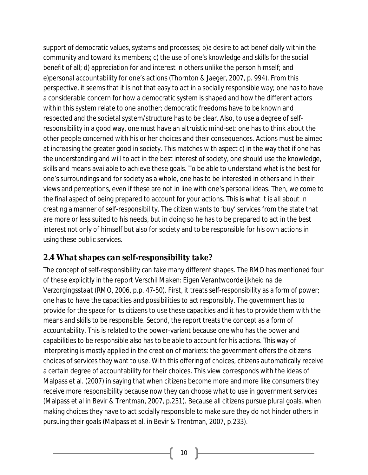support of democratic values, systems and processes; b)a desire to act beneficially within the community and toward its members; c) the use of one's knowledge and skills for the social benefit of all; d) appreciation for and interest in others unlike the person himself; and e)personal accountability for one's actions (Thornton & Jaeger, 2007, p. 994). From this perspective, it seems that it is not that easy to act in a socially responsible way; one has to have a considerable concern for how a democratic system is shaped and how the different actors within this system relate to one another; democratic freedoms have to be known and respected and the societal system/structure has to be clear. Also, to use a degree of selfresponsibility in a good way, one must have an altruistic mind-set: one has to think about the other people concerned with his or her choices and their consequences. Actions must be aimed at increasing the greater good in society. This matches with aspect c) in the way that if one has the understanding and will to act in the best interest of society, one should use the knowledge, skills and means available to achieve these goals. To be able to understand what is the best for one's surroundings and for society as a whole, one has to be interested in others and in their views and perceptions, even if these are not in line with one's personal ideas. Then, we come to the final aspect of being prepared to account for your actions. This is what it is all about in creating a manner of self-responsibility. The citizen wants to 'buy' services from the state that are more or less suited to his needs, but in doing so he has to be prepared to act in the best interest not only of himself but also for society and to be responsible for his own actions in using these public services.

#### *2.4 What shapes can self-responsibility take?*

The concept of self-responsibility can take many different shapes. The *RMO* has mentioned four of these explicitly in the report *Verschil Maken: Eigen Verantwoordelijkheid na de Verzorgingsstaat* (*RMO*, 2006, p.p. 47-50). First, it treats self-responsibility as a form of power; one has to have the capacities and possibilities to act responsibly. The government has to provide for the space for its citizens to use these capacities and it has to provide them with the means and skills to be responsible. Second, the report treats the concept as a form of accountability. This is related to the power-variant because one who has the power and capabilities to be responsible also has to be able to account for his actions. This way of interpreting is mostly applied in the creation of markets: the government offers the citizens choices of services they want to use. With this offering of choices, citizens automatically receive a certain degree of accountability for their choices. This view corresponds with the ideas of Malpass et al. (2007) in saying that when citizens become more and more like consumers they receive more responsibility because now they can choose what to use in government services (Malpass et al in Bevir & Trentman, 2007, p.231). Because all citizens pursue plural goals, when making choices they have to act socially responsible to make sure they do not hinder others in pursuing their goals (Malpass et al. in Bevir & Trentman, 2007, p.233).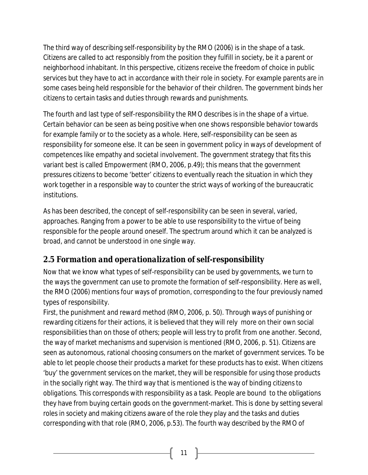The third way of describing self-responsibility by the *RMO* (2006) is in the shape of a task. Citizens are called to act responsibly from the position they fulfill in society, be it a parent or neighborhood inhabitant. In this perspective, citizens receive the freedom of choice in public services but they have to act in accordance with their role in society. For example parents are in some cases being held responsible for the behavior of their children. The government binds her citizens to certain tasks and duties through rewards and punishments.

The fourth and last type of self-responsibility the *RMO* describes is in the shape of a virtue. Certain behavior can be seen as being positive when one shows responsible behavior towards for example family or to the society as a whole. Here, self-responsibility can be seen as responsibility for someone else. It can be seen in government policy in ways of development of competences like empathy and societal involvement. The government strategy that fits this variant best is called *Empowerment* (*RMO*, 2006, p.49); this means that the government pressures citizens to become 'better' citizens to eventually reach the situation in which they work together in a responsible way to counter the strict ways of working of the bureaucratic institutions.

As has been described, the concept of self-responsibility can be seen in several, varied, approaches. Ranging from a power to be able to use responsibility to the virtue of being responsible for the people around oneself. The spectrum around which it can be analyzed is broad, and cannot be understood in one single way.

## *2.5 Formation and operationalization of self-responsibility*

Now that we know what types of self-responsibility can be used by governments, we turn to the ways the government can use to promote the formation of self-responsibility. Here as well, the *RMO* (2006) mentions four ways of promotion, corresponding to the four previously named types of responsibility.

First, the *punishment and reward* method (*RMO*, 2006, p. 50). Through ways of punishing or rewarding citizens for their actions, it is believed that they will rely more on their own social responsibilities than on those of others; people will less try to profit from one another. Second, the way of *market mechanisms and supervision* is mentioned (*RMO*, 2006, p. 51). Citizens are seen as autonomous, rational choosing consumers on the market of government services. To be able to let people choose their products a market for these products has to exist. When citizens 'buy' the government services on the market, they will be responsible for using those products in the socially right way. The third way that is mentioned is the way of *binding citizens to obligations*. This corresponds with responsibility as a task. People are bound to the obligations they have from buying certain goods on the government-market. This is done by setting several roles in society and making citizens aware of the role they play and the tasks and duties corresponding with that role (*RMO*, 2006, p.53). The fourth way described by the RMO of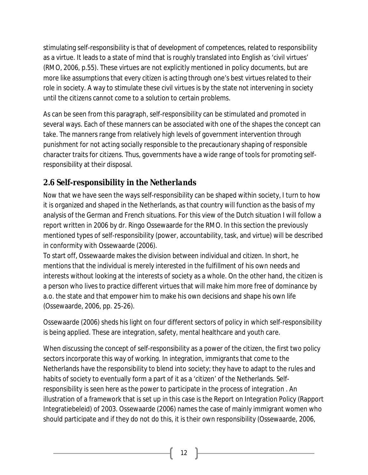stimulating self-responsibility is that of *development of competences*, related to responsibility as a virtue. It leads to a state of mind that is roughly translated into English as 'civil virtues' (*RMO*, 2006, p.55). These virtues are not explicitly mentioned in policy documents, but are more like assumptions that every citizen is acting through one's best virtues related to their role in society. A way to stimulate these civil virtues is by the state not intervening in society until the citizens cannot come to a solution to certain problems.

As can be seen from this paragraph, self-responsibility can be stimulated and promoted in several ways. Each of these manners can be associated with one of the shapes the concept can take. The manners range from relatively high levels of government intervention through punishment for not acting socially responsible to the precautionary shaping of responsible character traits for citizens. Thus, governments have a wide range of tools for promoting selfresponsibility at their disposal.

## *2.6 Self-responsibility in the Netherlands*

Now that we have seen the ways self-responsibility can be shaped within society, I turn to how it is organized and shaped in the Netherlands, as that country will function as the basis of my analysis of the German and French situations. For this view of the Dutch situation I will follow a report written in 2006 by dr. Ringo Ossewaarde for the RMO. In this section the previously mentioned types of self-responsibility (power, accountability, task, and virtue) will be described in conformity with Ossewaarde (2006).

To start off, Ossewaarde makes the division between individual and citizen. In short, he mentions that the individual is merely interested in the fulfillment of his own needs and interests without looking at the interests of society as a whole. On the other hand, the citizen is a person who lives to practice different virtues that will make him more free of dominance by a.o. the state and that empower him to make his own decisions and shape his own life (Ossewaarde, 2006, pp. 25-26).

Ossewaarde (2006) sheds his light on four different sectors of policy in which self-responsibility is being applied. These are integration, safety, mental healthcare and youth care.

When discussing the concept of self-responsibility as a *power* of the citizen, the first two policy sectors incorporate this way of working. In integration, immigrants that come to the Netherlands have the responsibility to blend into society; they have to adapt to the rules and habits of society to eventually form a part of it as a 'citizen' of the Netherlands. Selfresponsibility is seen here as the power to participate in the process of integration . An illustration of a framework that is set up in this case is the Report on Integration Policy (Rapport Integratiebeleid) of 2003. Ossewaarde (2006) names the case of mainly immigrant women who should participate and if they do not do this, it is their own responsibility (Ossewaarde, 2006,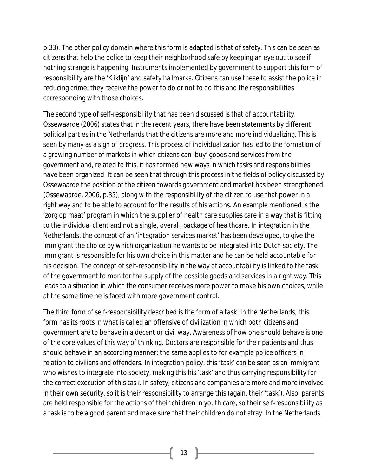p.33). The other policy domain where this form is adapted is that of safety. This can be seen as citizens that help the police to keep their neighborhood safe by keeping an eye out to see if nothing strange is happening. Instruments implemented by government to support this form of responsibility are the 'Kliklijn' and safety hallmarks. Citizens can use these to assist the police in reducing crime; they receive the power to do or not to do this and the responsibilities corresponding with those choices.

The second type of self-responsibility that has been discussed is that of *accountability*. Ossewaarde (2006) states that in the recent years, there have been statements by different political parties in the Netherlands that the citizens are more and more individualizing. This is seen by many as a sign of progress. This process of individualization has led to the formation of a growing number of markets in which citizens can 'buy' goods and services from the government and, related to this, it has formed new ways in which tasks and responsibilities have been organized. It can be seen that through this process in the fields of policy discussed by Ossewaarde the position of the citizen towards government and market has been strengthened (Ossewaarde, 2006, p.35), along with the responsibility of the citizen to use that power in a right way and to be able to account for the results of his actions. An example mentioned is the 'zorg op maat' program in which the supplier of health care supplies care in a way that is fitting to the individual client and not a single, overall, package of healthcare. In integration in the Netherlands, the concept of an 'integration services market' has been developed, to give the immigrant the choice by which organization he wants to be integrated into Dutch society. The immigrant is responsible for his own choice in this matter and he can be held accountable for his decision. The concept of self-responsibility in the way of accountability is linked to the task of the government to monitor the supply of the possible goods and services in a right way. This leads to a situation in which the consumer receives more power to make his own choices, while at the same time he is faced with more government control.

The third form of self-responsibility described is the form of a *task*. In the Netherlands, this form has its roots in what is called an offensive of civilization in which both citizens and government are to behave in a decent or civil way. Awareness of how one should behave is one of the core values of this way of thinking. Doctors are responsible for their patients and thus should behave in an according manner; the same applies to for example police officers in relation to civilians and offenders. In integration policy, this 'task' can be seen as an immigrant who wishes to integrate into society, making this his 'task' and thus carrying responsibility for the correct execution of this task. In safety, citizens and companies are more and more involved in their own security, so it is their responsibility to arrange this (again, their 'task'). Also, parents are held responsible for the actions of their children in youth care, so their self-responsibility as a task is to be a good parent and make sure that their children do not stray. In the Netherlands,

13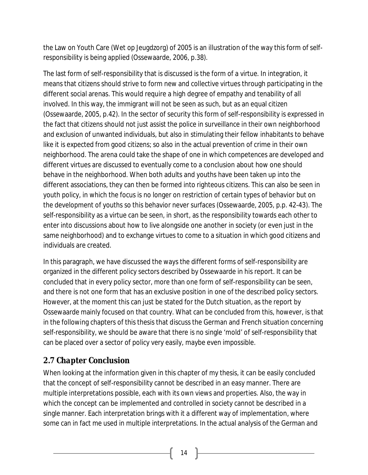the Law on Youth Care (Wet op Jeugdzorg) of 2005 is an illustration of the way this form of selfresponsibility is being applied (Ossewaarde, 2006, p.38).

The last form of self-responsibility that is discussed is the form of a *virtue*. In integration, it means that citizens should strive to form new and collective virtues through participating in the different social arenas. This would require a high degree of empathy and tenability of all involved. In this way, the immigrant will not be seen as such, but as an equal citizen (Ossewaarde, 2005, p.42). In the sector of security this form of self-responsibility is expressed in the fact that citizens should not just assist the police in surveillance in their own neighborhood and exclusion of unwanted individuals, but also in stimulating their fellow inhabitants to behave like it is expected from good citizens; so also in the actual prevention of crime in their own neighborhood. The arena could take the shape of one in which competences are developed and different virtues are discussed to eventually come to a conclusion about how one should behave in the neighborhood. When both adults and youths have been taken up into the different associations, they can then be formed into righteous citizens. This can also be seen in youth policy, in which the focus is no longer on restriction of certain types of behavior but on the development of youths so this behavior never surfaces (Ossewaarde, 2005, p.p. 42-43). The self-responsibility as a virtue can be seen, in short, as the responsibility towards each other to enter into discussions about how to live alongside one another in society (or even just in the same neighborhood) and to exchange virtues to come to a situation in which good citizens and individuals are created.

In this paragraph, we have discussed the ways the different forms of self-responsibility are organized in the different policy sectors described by Ossewaarde in his report. It can be concluded that in every policy sector, more than one form of self-responsibility can be seen, and there is not one form that has an exclusive position in one of the described policy sectors. However, at the moment this can just be stated for the Dutch situation, as the report by Ossewaarde mainly focused on that country. What can be concluded from this, however, is that in the following chapters of this thesis that discuss the German and French situation concerning self-responsibility, we should be aware that there is no single 'mold' of self-responsibility that can be placed over a sector of policy very easily, maybe even impossible.

## *2.7 Chapter Conclusion*

When looking at the information given in this chapter of my thesis, it can be easily concluded that the concept of self-responsibility cannot be described in an easy manner. There are multiple interpretations possible, each with its own views and properties. Also, the way in which the concept can be implemented and controlled in society cannot be described in a single manner. Each interpretation brings with it a different way of implementation, where some can in fact me used in multiple interpretations. In the actual analysis of the German and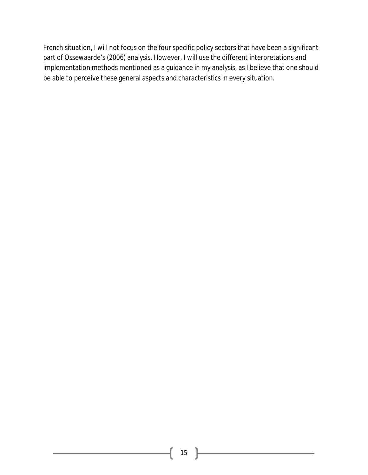French situation, I will not focus on the four specific policy sectors that have been a significant part of Ossewaarde's (2006) analysis. However, I will use the different interpretations and implementation methods mentioned as a guidance in my analysis, as I believe that one should be able to perceive these general aspects and characteristics in every situation.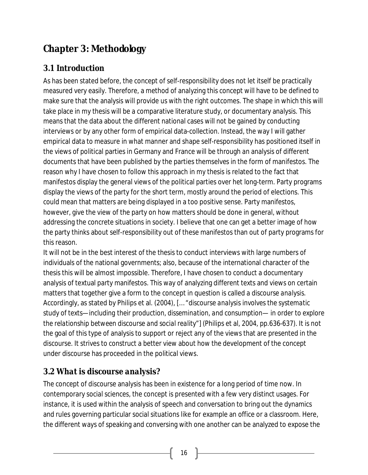# **Chapter 3: Methodology**

## *3.1 Introduction*

As has been stated before, the concept of self-responsibility does not let itself be practically measured very easily. Therefore, a method of analyzing this concept will have to be defined to make sure that the analysis will provide us with the right outcomes. The shape in which this will take place in my thesis will be a comparative literature study, or documentary analysis. This means that the data about the different national cases will not be gained by conducting interviews or by any other form of empirical data-collection. Instead, the way I will gather empirical data to measure in what manner and shape self-responsibility has positioned itself in the views of political parties in Germany and France will be through an analysis of different documents that have been published by the parties themselves in the form of manifestos. The reason why I have chosen to follow this approach in my thesis is related to the fact that manifestos display the general views of the political parties over het long-term. Party programs display the views of the party for the short term, mostly around the period of elections. This could mean that matters are being displayed in a too positive sense. Party manifestos, however, give the view of the party on how matters should be done in general, without addressing the concrete situations in society. I believe that one can get a better image of how the party thinks about self-responsibility out of these manifestos than out of party programs for this reason.

It will not be in the best interest of the thesis to conduct interviews with large numbers of individuals of the national governments; also, because of the international character of the thesis this will be almost impossible. Therefore, I have chosen to conduct a documentary analysis of textual party manifestos. This way of analyzing different texts and views on certain matters that together give a form to the concept in question is called a *discourse analysis*. Accordingly, as stated by Philips et al. (2004), [… "*discourse analysis involves the systematic study of texts—including their production, dissemination, and consumption— in order to explore the relationship between discourse and social reality"*] (Philips et al, 2004, pp.636-637). It is not the goal of this type of analysis to support or reject any of the views that are presented in the discourse. It strives to construct a better view about how the development of the concept under discourse has proceeded in the political views.

## *3.2 What is discourse analysis?*

The concept of discourse analysis has been in existence for a long period of time now. In contemporary social sciences, the concept is presented with a few very distinct usages. For instance, it is used within the analysis of speech and conversation to bring out the dynamics and rules governing particular social situations like for example an office or a classroom. Here, the different ways of speaking and conversing with one another can be analyzed to expose the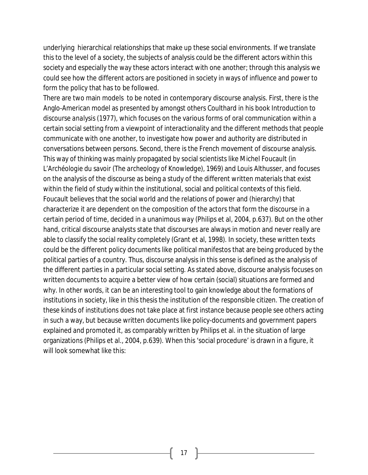underlying hierarchical relationships that make up these social environments. If we translate this to the level of a society, the subjects of analysis could be the different actors within this society and especially the way these actors interact with one another; through this analysis we could see how the different actors are positioned in society in ways of influence and power to form the policy that has to be followed.

There are two main models to be noted in contemporary discourse analysis. First, there is the Anglo-American model as presented by amongst others Coulthard in his book *Introduction to discourse analysis* (1977), which focuses on the various forms of oral communication within a certain social setting from a viewpoint of interactionality and the different methods that people communicate with one another, to investigate how power and authority are distributed in conversations between persons. Second, there is the French movement of discourse analysis. This way of thinking was mainly propagated by social scientists like Michel Foucault (in L'*Archéologie du savoir* (*The archeology of Knowledge*), 1969) and Louis Althusser, and focuses on the analysis of the discourse as being a study of the different written materials that exist within the field of study within the institutional, social and political contexts of this field. Foucault believes that the social world and the relations of power and (hierarchy) that characterize it are dependent on the composition of the actors that form the discourse in a certain period of time, decided in a unanimous way (Philips et al, 2004, p.637). But on the other hand, critical discourse analysts state that discourses are always in motion and never really are able to classify the social reality completely (Grant et al, 1998). In society, these written texts could be the different policy documents like political manifestos that are being produced by the political parties of a country. Thus, discourse analysis in this sense is defined as the analysis of the different parties in a particular social setting. As stated above, discourse analysis focuses on written documents to acquire a better view of how certain (social) situations are formed and why. In other words, it can be an interesting tool to gain knowledge about the formations of institutions in society, like in this thesis the institution of the responsible citizen. The creation of these kinds of institutions does not take place at first instance because people see others acting in such a way, but because written documents like policy-documents and government papers explained and promoted it, as comparably written by Philips et al. in the situation of large organizations (Philips et al., 2004, p.639). When this 'social procedure' is drawn in a figure, it will look somewhat like this: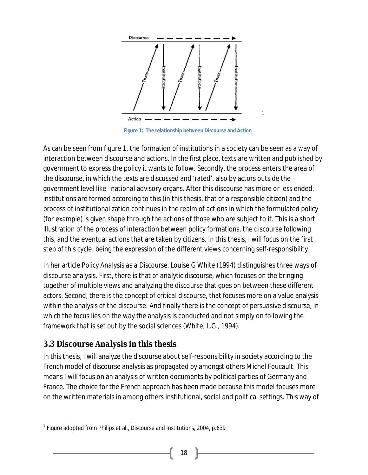

**Figure 1: The relationship between Discourse and Action**

As can be seen from figure 1, the formation of institutions in a society can be seen as a way of interaction between discourse and actions. In the first place, texts are written and published by government to express the policy it wants to follow. Secondly, the process enters the area of the discourse, in which the texts are discussed and 'rated', also by actors outside the government level like national advisory organs. After this discourse has more or less ended, institutions are formed according to this (in this thesis, that of a responsible citizen) and the process of institutionalization continues in the realm of actions in which the formulated policy (for example) is given shape through the actions of those who are subject to it. This is a short illustration of the process of interaction between policy formations, the discourse following this, and the eventual actions that are taken by citizens. In this thesis, I will focus on the first step of this cycle, being the expression of the different views concerning self-responsibility.

In her article *Policy Analysis as a Discourse*, Louise G White (1994) distinguishes three ways of discourse analysis. First, there is that of *analytic discourse*, which focuses on the bringing together of multiple views and analyzing the discourse that goes on between these different actors. Second, there is the concept of *critical discourse*, that focuses more on a value analysis within the analysis of the discourse. And finally there is the concept of *persuasive discourse*, in which the focus lies on the way the analysis is conducted and not simply on following the framework that is set out by the social sciences (White, L.G., 1994).

#### *3.3 Discourse Analysis in this thesis*

In this thesis, I will analyze the discourse about self-responsibility in society according to the French model of discourse analysis as propagated by amongst others Michel Foucault. This means I will focus on an analysis of written documents by political parties of Germany and France. The choice for the French approach has been made because this model focuses more on the written materials in among others institutional, social and political settings. This way of

 $\overline{\phantom{a}}$ <sup>1</sup> Figure adopted from Philips et al., Discourse and Institutions, 2004, p.639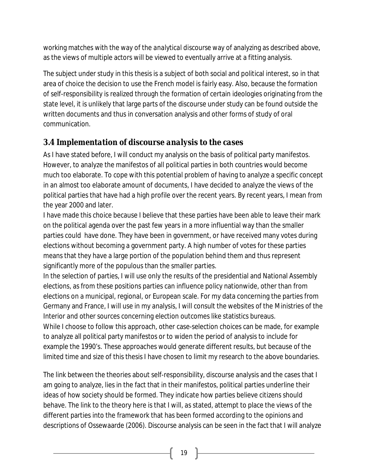working matches with the way of the *analytical discourse* way of analyzing as described above, as the views of multiple actors will be viewed to eventually arrive at a fitting analysis.

The subject under study in this thesis is a subject of both social and political interest, so in that area of choice the decision to use the French model is fairly easy. Also, because the formation of self-responsibility is realized through the formation of certain ideologies originating from the state level, it is unlikely that large parts of the discourse under study can be found outside the written documents and thus in conversation analysis and other forms of study of oral communication.

## *3.4 Implementation of discourse analysis to the cases*

As I have stated before, I will conduct my analysis on the basis of political party manifestos. However, to analyze the manifestos of all political parties in both countries would become much too elaborate. To cope with this potential problem of having to analyze a specific concept in an almost too elaborate amount of documents, I have decided to analyze the views of the political parties that have had a high profile over the recent years. By recent years, I mean from the year 2000 and later.

I have made this choice because I believe that these parties have been able to leave their mark on the political agenda over the past few years in a more influential way than the smaller parties could have done. They have been in government, or have received many votes during elections without becoming a government party. A high number of votes for these parties means that they have a large portion of the population behind them and thus represent significantly more of the populous than the smaller parties.

In the selection of parties, I will use only the results of the presidential and National Assembly elections, as from these positions parties can influence policy nationwide, other than from elections on a municipal, regional, or European scale. For my data concerning the parties from Germany and France, I will use in my analysis, I will consult the websites of the Ministries of the Interior and other sources concerning election outcomes like statistics bureaus.

While I choose to follow this approach, other case-selection choices can be made, for example to analyze all political party manifestos or to widen the period of analysis to include for example the 1990's. These approaches would generate different results, but because of the limited time and size of this thesis I have chosen to limit my research to the above boundaries.

The link between the theories about self-responsibility, discourse analysis and the cases that I am going to analyze, lies in the fact that in their manifestos, political parties underline their ideas of how society should be formed. They indicate how parties believe citizens should behave. The link to the theory here is that I will, as stated, attempt to place the views of the different parties into the framework that has been formed according to the opinions and descriptions of Ossewaarde (2006). Discourse analysis can be seen in the fact that I will analyze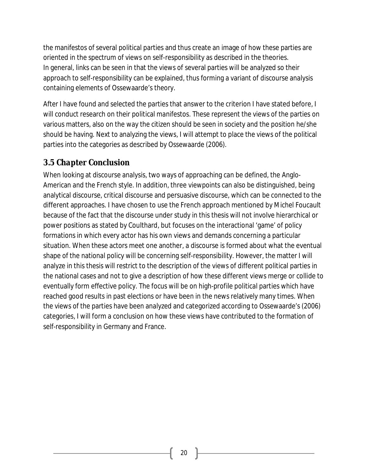the manifestos of several political parties and thus create an image of how these parties are oriented in the spectrum of views on self-responsibility as described in the theories. In general, links can be seen in that the views of several parties will be analyzed so their approach to self-responsibility can be explained, thus forming a variant of discourse analysis containing elements of Ossewaarde's theory.

After I have found and selected the parties that answer to the criterion I have stated before, I will conduct research on their political manifestos. These represent the views of the parties on various matters, also on the way the citizen should be seen in society and the position he/she should be having. Next to analyzing the views, I will attempt to place the views of the political parties into the categories as described by Ossewaarde (2006).

## *3.5 Chapter Conclusion*

When looking at discourse analysis, two ways of approaching can be defined, the Anglo-American and the French style. In addition, three viewpoints can also be distinguished, being analytical discourse, critical discourse and persuasive discourse, which can be connected to the different approaches. I have chosen to use the French approach mentioned by Michel Foucault because of the fact that the discourse under study in this thesis will not involve hierarchical or power positions as stated by Coulthard, but focuses on the interactional 'game' of policy formations in which every actor has his own views and demands concerning a particular situation. When these actors meet one another, a discourse is formed about what the eventual shape of the national policy will be concerning self-responsibility. However, the matter I will analyze in this thesis will restrict to the description of the views of different political parties in the national cases and not to give a description of how these different views merge or collide to eventually form effective policy. The focus will be on high-profile political parties which have reached good results in past elections or have been in the news relatively many times. When the views of the parties have been analyzed and categorized according to Ossewaarde's (2006) categories, I will form a conclusion on how these views have contributed to the formation of self-responsibility in Germany and France.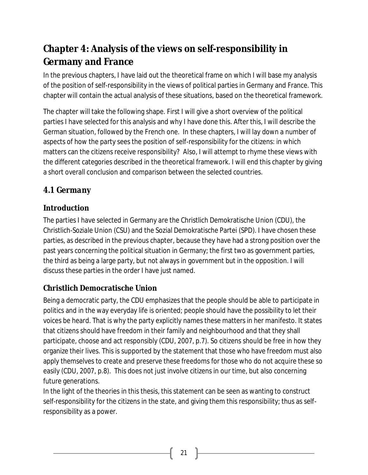# **Chapter 4: Analysis of the views on self-responsibility in Germany and France**

In the previous chapters, I have laid out the theoretical frame on which I will base my analysis of the position of self-responsibility in the views of political parties in Germany and France. This chapter will contain the actual analysis of these situations, based on the theoretical framework.

The chapter will take the following shape. First I will give a short overview of the political parties I have selected for this analysis and why I have done this. After this, I will describe the German situation, followed by the French one. In these chapters, I will lay down a number of aspects of how the party sees the position of self-responsibility for the citizens: in which matters can the citizens receive responsibility? Also, I will attempt to rhyme these views with the different categories described in the theoretical framework. I will end this chapter by giving a short overall conclusion and comparison between the selected countries.

## *4.1 Germany*

#### **Introduction**

The parties I have selected in Germany are the Christlich Demokratische Union (CDU), the Christlich-Soziale Union (CSU) and the Sozial Demokratische Partei (SPD). I have chosen these parties, as described in the previous chapter, because they have had a strong position over the past years concerning the political situation in Germany; the first two as government parties, the third as being a large party, but not always in government but in the opposition. I will discuss these parties in the order I have just named.

#### **Christlich Democratische Union**

Being a democratic party, the CDU emphasizes that the people should be able to participate in politics and in the way everyday life is oriented; people should have the possibility to let their voices be heard. That is why the party explicitly names these matters in her manifesto. It states that citizens should have freedom in their family and neighbourhood and that they shall participate, choose and act responsibly (CDU, 2007, p.7). So citizens should be free in how they organize their lives. This is supported by the statement that those who have freedom must also apply themselves to create and preserve these freedoms for those who do not acquire these so easily (CDU, 2007, p.8). This does not just involve citizens in our time, but also concerning future generations.

In the light of the theories in this thesis, this statement can be seen as wanting to construct self-responsibility for the citizens in the state, and giving them this responsibility; thus as selfresponsibility as a *power*.

21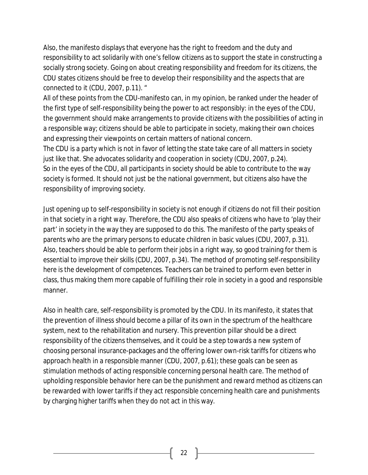Also, the manifesto displays that everyone has the right to freedom and the duty and responsibility to act solidarily with one's fellow citizens as to support the state in constructing a socially strong society. Going on about creating responsibility and freedom for its citizens, the CDU states citizens should be free to develop their responsibility and the aspects that are connected to it (CDU, 2007, p.11). "

All of these points from the CDU-manifesto can, in my opinion, be ranked under the header of the first type of self-responsibility being the *power* to act responsibly: in the eyes of the CDU, the government should make arrangements to provide citizens with the possibilities of acting in a responsible way; citizens should be able to participate in society, making their own choices and expressing their viewpoints on certain matters of national concern.

The CDU is a party which is not in favor of letting the state take care of all matters in society just like that. She advocates solidarity and cooperation in society (CDU, 2007, p.24). So in the eyes of the CDU, all participants in society should be able to contribute to the way society is formed. It should not just be the national government, but citizens also have the responsibility of improving society.

Just opening up to self-responsibility in society is not enough if citizens do not fill their position in that society in a right way. Therefore, the CDU also speaks of citizens who have to 'play their part' in society in the way they are supposed to do this. The manifesto of the party speaks of parents who are the primary persons to educate children in basic values (CDU, 2007, p.31). Also, teachers should be able to perform their jobs in a right way, so good training for them is essential to improve their skills (CDU, 2007, p.34). The method of promoting self-responsibility here is the *development of competences*. Teachers can be trained to perform even better in class, thus making them more capable of fulfilling their role in society in a good and responsible manner.

Also in health care, self-responsibility is promoted by the CDU. In its manifesto, it states that the prevention of illness should become a pillar of its own in the spectrum of the healthcare system, next to the rehabilitation and nursery. This prevention pillar should be a direct responsibility of the citizens themselves, and it could be a step towards a new system of choosing personal insurance-packages and the offering lower own-risk tariffs for citizens who approach health in a responsible manner (CDU, 2007, p.61); these goals can be seen as stimulation methods of acting responsible concerning personal health care. The method of upholding responsible behavior here can be the *punishment and reward* method as citizens can be rewarded with lower tariffs if they act responsible concerning health care and punishments by charging higher tariffs when they do not act in this way.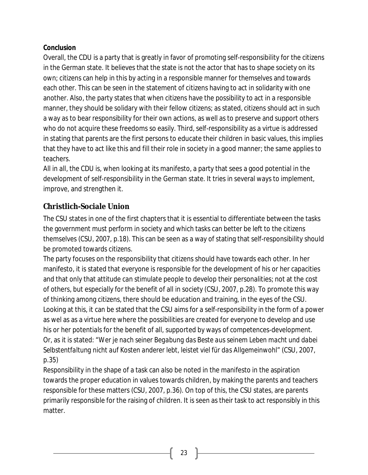#### **Conclusion**

Overall, the CDU is a party that is greatly in favor of promoting self-responsibility for the citizens in the German state. It believes that the state is not the actor that has to shape society on its own; citizens can help in this by acting in a responsible manner for themselves and towards each other. This can be seen in the statement of citizens having to act in solidarity with one another. Also, the party states that when citizens have the possibility to act in a responsible manner, they should be solidary with their fellow citizens; as stated, citizens should act in such a way as to bear responsibility for their own actions, as well as to preserve and support others who do not acquire these freedoms so easily. Third, self-responsibility as a virtue is addressed in stating that parents are the first persons to educate their children in basic values, this implies that they have to act like this and fill their role in society in a good manner; the same applies to teachers.

All in all, the CDU is, when looking at its manifesto, a party that sees a good potential in the development of self-responsibility in the German state. It tries in several ways to implement, improve, and strengthen it.

#### **Christlich-Sociale Union**

The CSU states in one of the first chapters that it is essential to differentiate between the tasks the government must perform in society and which tasks can better be left to the citizens themselves (CSU, 2007, p.18). This can be seen as a way of stating that self-responsibility should be promoted towards citizens.

The party focuses on the responsibility that citizens should have towards each other. In her manifesto, it is stated that everyone is responsible for the development of his or her capacities and that only that attitude can stimulate people to develop their personalities; not at the cost of others, but especially for the benefit of all in society (CSU, 2007, p.28). To promote this way of thinking among citizens, there should be education and training, in the eyes of the CSU. Looking at this, it can be stated that the CSU aims for a self-responsibility in the form of a *power* as wel as as a *virtue* here where the possibilities are created for everyone to develop and use his or her potentials for the benefit of all, supported by ways of competences-development. Or, as it is stated: "*Wer je nach seiner Begabung das Beste aus seinem Leben macht und dabei Selbstentfaltung nicht auf Kosten anderer lebt, leistet viel für das Allgemeinwohl*" (CSU, 2007, p.35)

Responsibility in the shape of a task can also be noted in the manifesto in the aspiration towards the proper education in values towards children, by making the parents and teachers responsible for these matters (CSU, 2007, p.36). On top of this, the CSU states, are parents primarily responsible for the raising of children. It is seen as their task to act responsibly in this matter.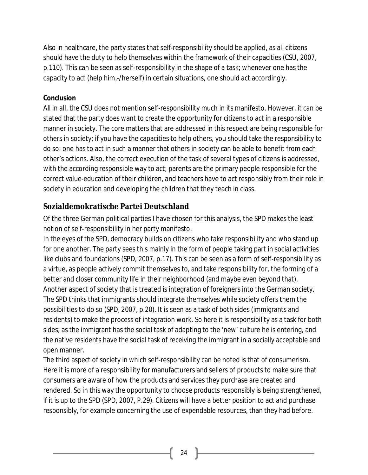Also in healthcare, the party states that self-responsibility should be applied, as all citizens should have the duty to help themselves within the framework of their capacities (CSU, 2007, p.110). This can be seen as self-responsibility in the shape of a task; whenever one has the capacity to act (help him,-/herself) in certain situations, one should act accordingly.

#### **Conclusion**

All in all, the CSU does not mention self-responsibility much in its manifesto. However, it can be stated that the party does want to create the opportunity for citizens to act in a responsible manner in society. The core matters that are addressed in this respect are being responsible for others in society; if you have the capacities to help others, you should take the responsibility to do so: one has to act in such a manner that others in society can be able to benefit from each other's actions. Also, the correct execution of the task of several types of citizens is addressed, with the according responsible way to act; parents are the primary people responsible for the correct value-education of their children, and teachers have to act responsibly from their role in society in education and developing the children that they teach in class.

#### **Sozialdemokratische Partei Deutschland**

Of the three German political parties I have chosen for this analysis, the SPD makes the least notion of self-responsibility in her party manifesto.

In the eyes of the SPD, democracy builds on citizens who take responsibility and who stand up for one another. The party sees this mainly in the form of people taking part in social activities like clubs and foundations (SPD, 2007, p.17). This can be seen as a form of self-responsibility as a virtue, as people actively commit themselves to, and take responsibility for, the forming of a better and closer community life in their neighborhood (and maybe even beyond that). Another aspect of society that is treated is integration of foreigners into the German society. The SPD thinks that immigrants should integrate themselves while society offers them the possibilities to do so (SPD, 2007, p.20). It is seen as a task of both sides (immigrants and residents) to make the process of integration work. So here it is responsibility as a task for both sides; as the immigrant has the social task of adapting to the 'new' culture he is entering, and the native residents have the social task of receiving the immigrant in a socially acceptable and open manner.

The third aspect of society in which self-responsibility can be noted is that of consumerism. Here it is more of a responsibility for manufacturers and sellers of products to make sure that consumers are aware of how the products and services they purchase are created and rendered. So in this way the opportunity to choose products responsibly is being strengthened, if it is up to the SPD (SPD, 2007, P.29). Citizens will have a better position to act and purchase responsibly, for example concerning the use of expendable resources, than they had before.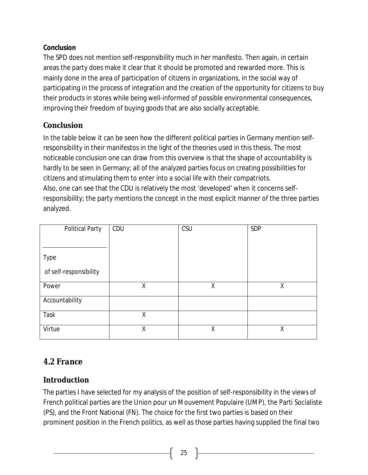#### **Conclusion**

The SPD does not mention self-responsibility much in her manifesto. Then again, in certain areas the party does make it clear that it should be promoted and rewarded more. This is mainly done in the area of participation of citizens in organizations, in the social way of participating in the process of integration and the creation of the opportunity for citizens to buy their products in stores while being well-informed of possible environmental consequences, improving their freedom of buying goods that are also socially acceptable.

#### **Conclusion**

In the table below it can be seen how the different political parties in Germany mention selfresponsibility in their manifestos in the light of the theories used in this thesis. The most noticeable conclusion one can draw from this overview is that the shape of *accountability* is hardly to be seen in Germany; all of the analyzed parties focus on creating possibilities for citizens and stimulating them to enter into a social life with their compatriots. Also, one can see that the CDU is relatively the most 'developed' when it concerns selfresponsibility; the party mentions the concept in the most explicit manner of the three parties analyzed.

| <b>Political Party</b> | CDU | CSU | <b>SDP</b> |
|------------------------|-----|-----|------------|
|                        |     |     |            |
| <b>Type</b>            |     |     |            |
| of self-responsibility |     |     |            |
| Power                  | Χ   | X   | Χ          |
| Accountability         |     |     |            |
| <b>Task</b>            | χ   |     |            |
| Virtue                 | X   | X   | Χ          |

## *4.2 France*

#### **Introduction**

The parties I have selected for my analysis of the position of self-responsibility in the views of French political parties are the Union pour un Mouvement Populaire (UMP), the Parti Socialiste (PS), and the Front National (FN). The choice for the first two parties is based on their prominent position in the French politics, as well as those parties having supplied the final two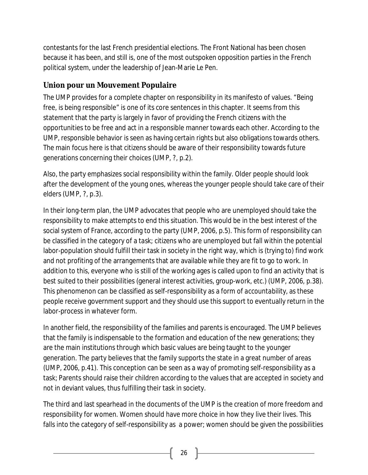contestants for the last French presidential elections. The Front National has been chosen because it has been, and still is, one of the most outspoken opposition parties in the French political system, under the leadership of Jean-Marie Le Pen.

#### **Union pour un Mouvement Populaire**

The UMP provides for a complete chapter on responsibility in its manifesto of values. "Being free, is being responsible" is one of its core sentences in this chapter. It seems from this statement that the party is largely in favor of providing the French citizens with the opportunities to be free and act in a responsible manner towards each other. According to the UMP, responsible behavior is seen as having certain rights but also obligations towards others. The main focus here is that citizens should be aware of their responsibility towards future generations concerning their choices (UMP, ?, p.2).

Also, the party emphasizes social responsibility within the family. Older people should look after the development of the young ones, whereas the younger people should take care of their elders (UMP, ?, p.3).

In their long-term plan, the UMP advocates that people who are unemployed should take the responsibility to make attempts to end this situation. This would be in the best interest of the social system of France, according to the party (UMP, 2006, p.5). This form of responsibility can be classified in the category of a *task*; citizens who are unemployed but fall within the potential labor-population should fulfill their task in society in the right way, which is (trying to) find work and not profiting of the arrangements that are available while they are fit to go to work. In addition to this, everyone who is still of the working ages is called upon to find an activity that is best suited to their possibilities (general interest activities, group-work, etc.) (UMP, 2006, p.38). This phenomenon can be classified as self-responsibility as a form of *accountability*, as these people receive government support and they should use this support to eventually return in the labor-process in whatever form.

In another field, the responsibility of the families and parents is encouraged. The UMP believes that the family is indispensable to the formation and education of the new generations; they are the main institutions through which basic values are being taught to the younger generation. The party believes that the family supports the state in a great number of areas (UMP, 2006, p.41). This conception can be seen as a way of promoting self-responsibility as a task; Parents should raise their children according to the values that are accepted in society and not in deviant values, thus fulfilling their task in society.

The third and last spearhead in the documents of the UMP is the creation of more freedom and responsibility for women. Women should have more choice in how they live their lives. This falls into the category of self-responsibility as a power; women should be given the possibilities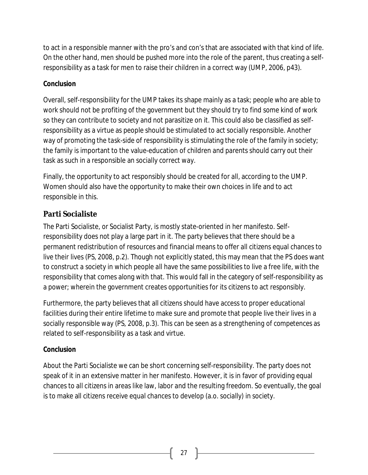to act in a responsible manner with the pro's and con's that are associated with that kind of life. On the other hand, men should be pushed more into the role of the parent, thus creating a selfresponsibility as a *task* for men to raise their children in a correct way (UMP, 2006, p43).

#### **Conclusion**

Overall, self-responsibility for the UMP takes its shape mainly as a task; people who are able to work should not be profiting of the government but they should try to find some kind of work so they can contribute to society and not parasitize on it. This could also be classified as selfresponsibility as a *virtue* as people should be stimulated to act socially responsible. Another way of promoting the *task*-side of responsibility is stimulating the role of the family in society; the family is important to the value-education of children and parents should carry out their task as such in a responsible an socially correct way.

Finally, the opportunity to act responsibly should be created for all, according to the UMP. Women should also have the opportunity to make their own choices in life and to act responsible in this.

#### **Parti Socialiste**

The Parti Socialiste, or Socialist Party, is mostly state-oriented in her manifesto. Selfresponsibility does not play a large part in it. The party believes that there should be a permanent redistribution of resources and financial means to offer all citizens equal chances to live their lives (PS, 2008, p.2). Though not explicitly stated, this may mean that the PS does want to construct a society in which people all have the same possibilities to live a free life, with the responsibility that comes along with that. This would fall in the category of self-responsibility as a power; wherein the government creates opportunities for its citizens to act responsibly.

Furthermore, the party believes that all citizens should have access to proper educational facilities during their entire lifetime to make sure and promote that people live their lives in a socially responsible way (PS, 2008, p.3). This can be seen as a *strengthening of competences* as related to self-responsibility as a task and virtue.

#### **Conclusion**

About the Parti Socialiste we can be short concerning self-responsibility. The party does not speak of it in an extensive matter in her manifesto. However, it is in favor of providing equal chances to all citizens in areas like law, labor and the resulting freedom. So eventually, the goal is to make all citizens receive equal chances to develop (a.o. socially) in society.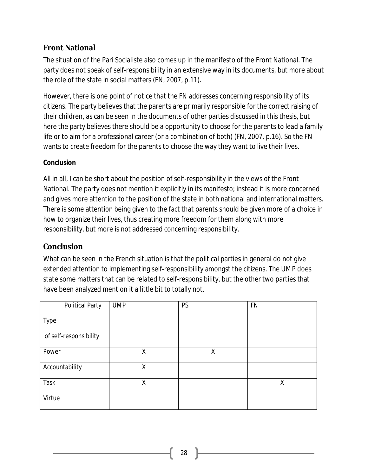#### **Front National**

The situation of the Pari Socialiste also comes up in the manifesto of the Front National. The party does not speak of self-responsibility in an extensive way in its documents, but more about the role of the state in social matters (FN, 2007, p.11).

However, there is one point of notice that the FN addresses concerning responsibility of its citizens. The party believes that the parents are primarily responsible for the correct raising of their children, as can be seen in the documents of other parties discussed in this thesis, but here the party believes there should be a opportunity to choose for the parents to lead a family life or to aim for a professional career (or a combination of both) (FN, 2007, p.16). So the FN wants to create freedom for the parents to choose the way they want to live their lives.

#### **Conclusion**

All in all, I can be short about the position of self-responsibility in the views of the Front National. The party does not mention it explicitly in its manifesto; instead it is more concerned and gives more attention to the position of the state in both national and international matters. There is some attention being given to the fact that parents should be given more of a choice in how to organize their lives, thus creating more freedom for them along with more responsibility, but more is not addressed concerning responsibility.

#### **Conclusion**

What can be seen in the French situation is that the political parties in general do not give extended attention to implementing self-responsibility amongst the citizens. The UMP does state some matters that can be related to self-responsibility, but the other two parties that have been analyzed mention it a little bit to totally not.

| <b>Political Party</b> | <b>UMP</b> | <b>PS</b> | <b>FN</b> |
|------------------------|------------|-----------|-----------|
| <b>Type</b>            |            |           |           |
| of self-responsibility |            |           |           |
| Power                  | Χ          | X         |           |
| Accountability         | Χ          |           |           |
| Task                   | Χ          |           | χ         |
| Virtue                 |            |           |           |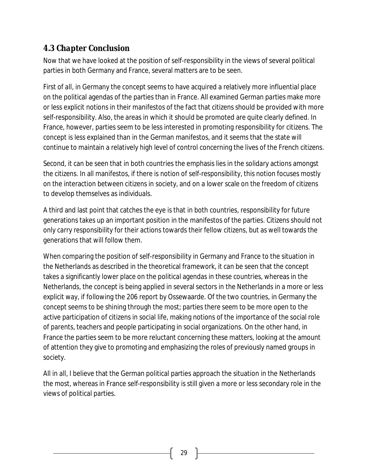## *4.3 Chapter Conclusion*

Now that we have looked at the position of self-responsibility in the views of several political parties in both Germany and France, several matters are to be seen.

First of all, in Germany the concept seems to have acquired a relatively more influential place on the political agendas of the parties than in France. All examined German parties make more or less explicit notions in their manifestos of the fact that citizens should be provided with more self-responsibility. Also, the areas in which it should be promoted are quite clearly defined. In France, however, parties seem to be less interested in promoting responsibility for citizens. The concept is less explained than in the German manifestos, and it seems that the state will continue to maintain a relatively high level of control concerning the lives of the French citizens.

Second, it can be seen that in both countries the emphasis lies in the solidary actions amongst the citizens. In all manifestos, if there is notion of self-responsibility, this notion focuses mostly on the interaction between citizens in society, and on a lower scale on the freedom of citizens to develop themselves as individuals.

A third and last point that catches the eye is that in both countries, responsibility for future generations takes up an important position in the manifestos of the parties. Citizens should not only carry responsibility for their actions towards their fellow citizens, but as well towards the generations that will follow them.

When comparing the position of self-responsibility in Germany and France to the situation in the Netherlands as described in the theoretical framework, it can be seen that the concept takes a significantly lower place on the political agendas in these countries, whereas in the Netherlands, the concept is being applied in several sectors in the Netherlands in a more or less explicit way, if following the 206 report by Ossewaarde. Of the two countries, in Germany the concept seems to be shining through the most; parties there seem to be more open to the active participation of citizens in social life, making notions of the importance of the social role of parents, teachers and people participating in social organizations. On the other hand, in France the parties seem to be more reluctant concerning these matters, looking at the amount of attention they give to promoting and emphasizing the roles of previously named groups in society.

All in all, I believe that the German political parties approach the situation in the Netherlands the most, whereas in France self-responsibility is still given a more or less secondary role in the views of political parties.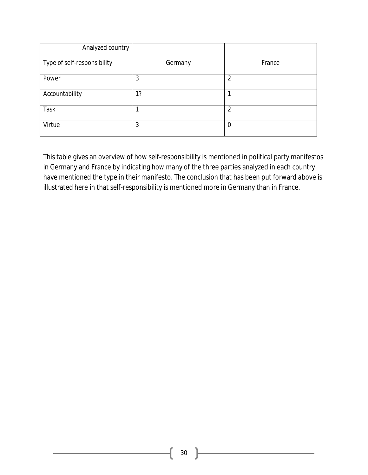| Analyzed country            |         |                  |
|-----------------------------|---------|------------------|
| Type of self-responsibility | Germany | France           |
| Power                       | 3       | $\overline{2}$   |
| Accountability              | 1?      |                  |
| <b>Task</b>                 |         | $\overline{2}$   |
| Virtue                      | 3       | $\boldsymbol{0}$ |

This table gives an overview of how self-responsibility is mentioned in political party manifestos in Germany and France by indicating how many of the three parties analyzed in each country have mentioned the type in their manifesto. The conclusion that has been put forward above is illustrated here in that self-responsibility is mentioned more in Germany than in France.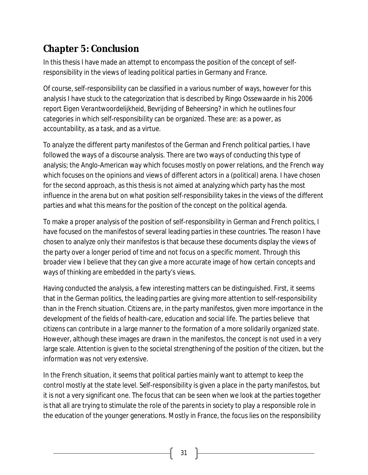# **Chapter 5: Conclusion**

In this thesis I have made an attempt to encompass the position of the concept of selfresponsibility in the views of leading political parties in Germany and France.

Of course, self-responsibility can be classified in a various number of ways, however for this analysis I have stuck to the categorization that is described by Ringo Ossewaarde in his 2006 report *Eigen Verantwoordelijkheid, Bevrijding of Beheersing?* in which he outlines four categories in which self-responsibility can be organized. These are: as a *power*, as *accountability*, as a *task*, and as a *virtue*.

To analyze the different party manifestos of the German and French political parties, I have followed the ways of a discourse analysis. There are two ways of conducting this type of analysis; the Anglo-American way which focuses mostly on power relations, and the French way which focuses on the opinions and views of different actors in a (political) arena. I have chosen for the second approach, as this thesis is not aimed at analyzing which party has the most influence in the arena but on what position self-responsibility takes in the views of the different parties and what this means for the position of the concept on the political agenda.

To make a proper analysis of the position of self-responsibility in German and French politics, I have focused on the manifestos of several leading parties in these countries. The reason I have chosen to analyze only their manifestos is that because these documents display the views of the party over a longer period of time and not focus on a specific moment. Through this broader view I believe that they can give a more accurate image of how certain concepts and ways of thinking are embedded in the party's views.

Having conducted the analysis, a few interesting matters can be distinguished. First, it seems that in the German politics, the leading parties are giving more attention to self-responsibility than in the French situation. Citizens are, in the party manifestos, given more importance in the development of the fields of health-care, education and social life. The parties believe that citizens can contribute in a large manner to the formation of a more solidarily organized state. However, although these images are drawn in the manifestos, the concept is not used in a very large scale. Attention is given to the societal strengthening of the position of the citizen, but the information was not very extensive.

In the French situation, it seems that political parties mainly want to attempt to keep the control mostly at the state level. Self-responsibility is given a place in the party manifestos, but it is not a very significant one. The focus that can be seen when we look at the parties together is that all are trying to stimulate the role of the parents in society to play a responsible role in the education of the younger generations. Mostly in France, the focus lies on the responsibility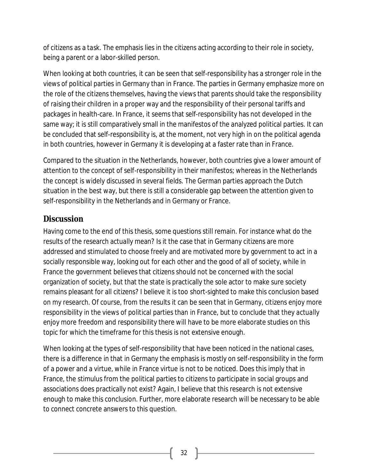of citizens as a *task*. The emphasis lies in the citizens acting according to their role in society, being a parent or a labor-skilled person.

When looking at both countries, it can be seen that self-responsibility has a stronger role in the views of political parties in Germany than in France. The parties in Germany emphasize more on the role of the citizens themselves, having the views that parents should take the responsibility of raising their children in a proper way and the responsibility of their personal tariffs and packages in health-care. In France, it seems that self-responsibility has not developed in the same way; it is still comparatively small in the manifestos of the analyzed political parties. It can be concluded that self-responsibility is, at the moment, not very high in on the political agenda in both countries, however in Germany it is developing at a faster rate than in France.

Compared to the situation in the Netherlands, however, both countries give a lower amount of attention to the concept of self-responsibility in their manifestos; whereas in the Netherlands the concept is widely discussed in several fields. The German parties approach the Dutch situation in the best way, but there is still a considerable gap between the attention given to self-responsibility in the Netherlands and in Germany or France.

## *Discussion*

Having come to the end of this thesis, some questions still remain. For instance what do the results of the research actually mean? Is it the case that in Germany citizens are more addressed and stimulated to choose freely and are motivated more by government to act in a socially responsible way, looking out for each other and the good of all of society, while in France the government believes that citizens should not be concerned with the social organization of society, but that the state is practically the sole actor to make sure society remains pleasant for all citizens? I believe it is too short-sighted to make this conclusion based on my research. Of course, from the results it can be seen that in Germany, citizens enjoy more responsibility in the views of political parties than in France, but to conclude that they *actually* enjoy more freedom and responsibility there will have to be more elaborate studies on this topic for which the timeframe for this thesis is not extensive enough.

When looking at the types of self-responsibility that have been noticed in the national cases, there is a difference in that in Germany the emphasis is mostly on self-responsibility in the form of a power and a virtue, while in France virtue is not to be noticed. Does this imply that in France, the stimulus from the political parties to citizens to participate in social groups and associations does practically not exist? Again, I believe that this research is not extensive enough to make this conclusion. Further, more elaborate research will be necessary to be able to connect concrete answers to this question.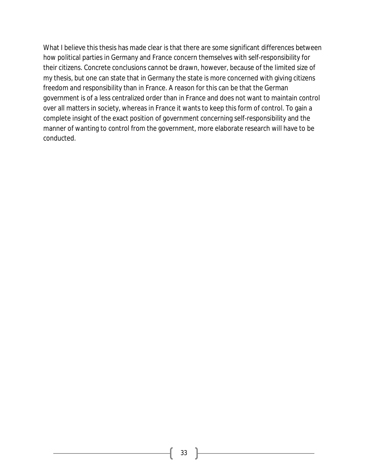What I believe this thesis has made clear is that there are some significant differences between how political parties in Germany and France concern themselves with self-responsibility for their citizens. Concrete conclusions cannot be drawn, however, because of the limited size of my thesis, but one can state that in Germany the state is more concerned with giving citizens freedom and responsibility than in France. A reason for this can be that the German government is of a less centralized order than in France and does not want to maintain control over all matters in society, whereas in France it wants to keep this form of control. To gain a complete insight of the exact position of government concerning self-responsibility and the manner of wanting to control from the government, more elaborate research will have to be conducted.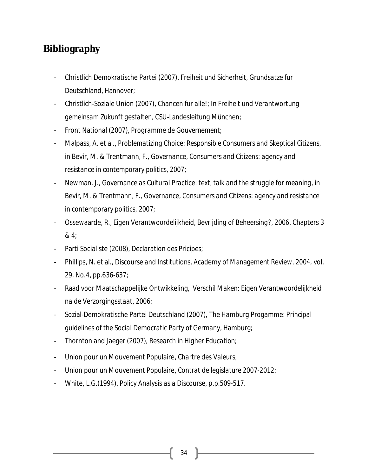# **Bibliography**

- Christlich Demokratische Partei (2007), *Freiheit und Sicherheit, Grundsatze fur Deutschland*, Hannover;
- Christlich-Soziale Union (2007), *Chancen fur alle!; In Freiheit und Verantwortung gemeinsam Zukunft gestalten*, CSU-Landesleitung München;
- Front National (2007), *Programme de Gouvernement*;
- Malpass, A. et al., *Problematizing Choice: Responsible Consumers and Skeptical Citizens*, in Bevir, M. & Trentmann, F., *Governance, Consumers and Citizens: agency and resistance in contemporary politics*, 2007;
- Newman, J., *Governance as Cultural Practice: text, talk and the struggle for meaning*, in Bevir, M. & Trentmann, F., *Governance, Consumers and Citizens: agency and resistance in contemporary politics*, 2007;
- Ossewaarde, R., *Eigen Verantwoordelijkheid, Bevrijding of Beheersing?*, 2006, Chapters 3 & 4;
- Parti Socialiste (2008), *Declaration des Pricipes*;
- Phillips, N. et al., *Discourse and Institutions*, Academy of Management Review, 2004, vol. 29, No.4, pp.636-637;
- Raad voor Maatschappelijke Ontwikkeling, *Verschil Maken: Eigen Verantwoordelijkheid na de Verzorgingsstaat*, 2006;
- Sozial-Demokratische Partei Deutschland (2007), *The Hamburg Progamme: Principal guidelines of the Social Democratic Party of Germany*, Hamburg;
- Thornton and Jaeger (2007), *Research in Higher Education*;
- Union pour un Mouvement Populaire, *Chartre des Valeurs*;
- Union pour un Mouvement Populaire, *Contrat de legislature 2007-2012*;
- White, L.G.(1994), *Policy Analysis as a Discourse*, p.p.509-517.